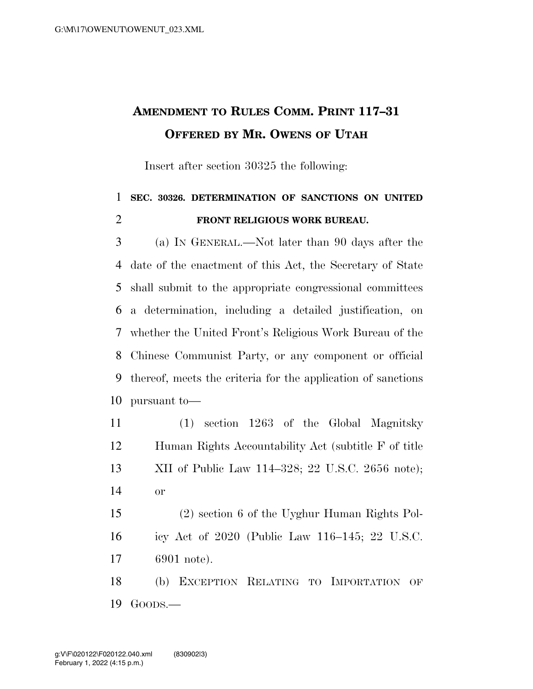## **AMENDMENT TO RULES COMM. PRINT 117–31 OFFERED BY MR. OWENS OF UTAH**

Insert after section 30325 the following:

## **SEC. 30326. DETERMINATION OF SANCTIONS ON UNITED FRONT RELIGIOUS WORK BUREAU.**

 (a) IN GENERAL.—Not later than 90 days after the date of the enactment of this Act, the Secretary of State shall submit to the appropriate congressional committees a determination, including a detailed justification, on whether the United Front's Religious Work Bureau of the Chinese Communist Party, or any component or official thereof, meets the criteria for the application of sanctions pursuant to—

 (1) section 1263 of the Global Magnitsky Human Rights Accountability Act (subtitle F of title XII of Public Law 114–328; 22 U.S.C. 2656 note); or

 (2) section 6 of the Uyghur Human Rights Pol- icy Act of 2020 (Public Law 116–145; 22 U.S.C. 6901 note).

 (b) EXCEPTION RELATING TO IMPORTATION OF GOODS.—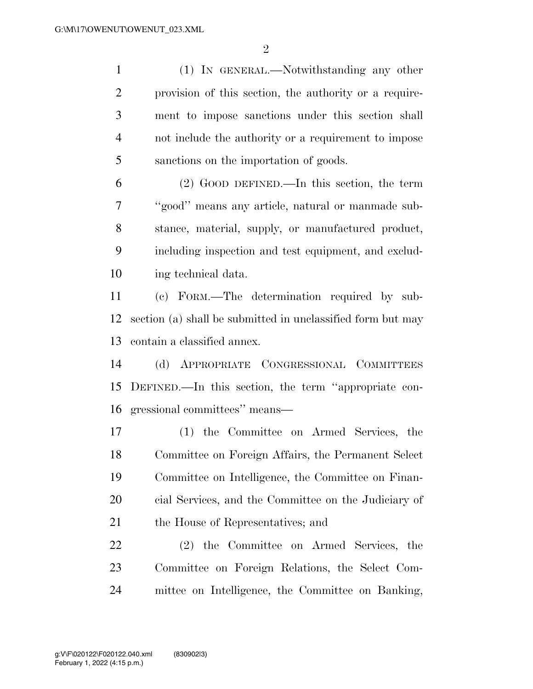(1) IN GENERAL.—Notwithstanding any other provision of this section, the authority or a require- ment to impose sanctions under this section shall not include the authority or a requirement to impose sanctions on the importation of goods.

 (2) GOOD DEFINED.—In this section, the term ''good'' means any article, natural or manmade sub- stance, material, supply, or manufactured product, including inspection and test equipment, and exclud-ing technical data.

 (c) FORM.—The determination required by sub- section (a) shall be submitted in unclassified form but may contain a classified annex.

 (d) APPROPRIATE CONGRESSIONAL COMMITTEES DEFINED.—In this section, the term ''appropriate con-gressional committees'' means—

 (1) the Committee on Armed Services, the Committee on Foreign Affairs, the Permanent Select Committee on Intelligence, the Committee on Finan- cial Services, and the Committee on the Judiciary of 21 the House of Representatives; and

 (2) the Committee on Armed Services, the Committee on Foreign Relations, the Select Com-mittee on Intelligence, the Committee on Banking,